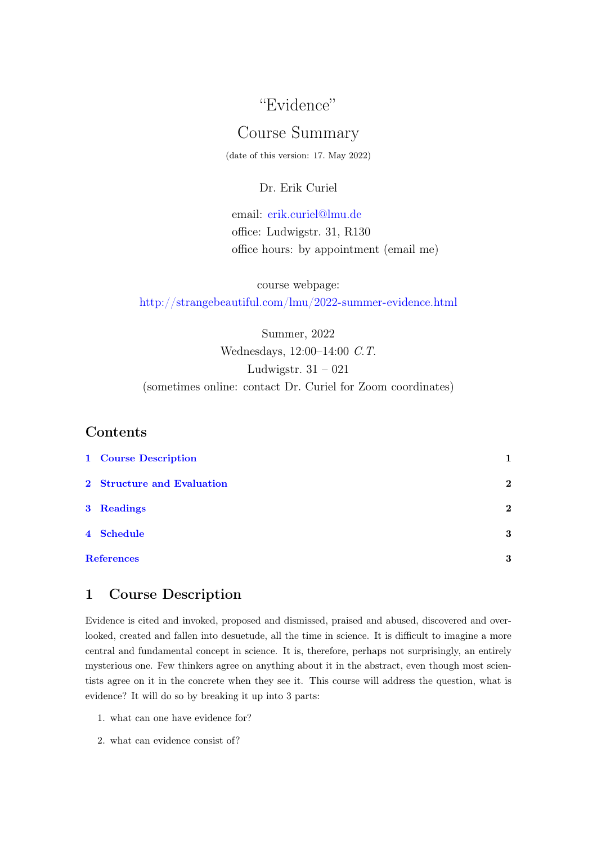## "Evidence"

# Course Summary

(date of this version: 17. May 2022)

#### Dr. Erik Curiel

email: [erik.curiel@lmu.de](mailto:erik.curiel@lmu.de) office: Ludwigstr. 31, R130 office hours: by appointment (email me)

course webpage: <http://strangebeautiful.com/lmu/2022-summer-evidence.html>

Summer, 2022 Wednesdays, 12:00–14:00 C.T. Ludwigstr.  $31 - 021$ (sometimes online: contact Dr. Curiel for Zoom coordinates)

## Contents

| 1 Course Description       | 1            |
|----------------------------|--------------|
| 2 Structure and Evaluation | $\mathbf{2}$ |
| 3 Readings                 | $\mathbf{2}$ |
| 4 Schedule                 | 3            |
| <b>References</b>          |              |

## <span id="page-0-0"></span>1 Course Description

Evidence is cited and invoked, proposed and dismissed, praised and abused, discovered and overlooked, created and fallen into desuetude, all the time in science. It is difficult to imagine a more central and fundamental concept in science. It is, therefore, perhaps not surprisingly, an entirely mysterious one. Few thinkers agree on anything about it in the abstract, even though most scientists agree on it in the concrete when they see it. This course will address the question, what is evidence? It will do so by breaking it up into 3 parts:

- 1. what can one have evidence for?
- 2. what can evidence consist of?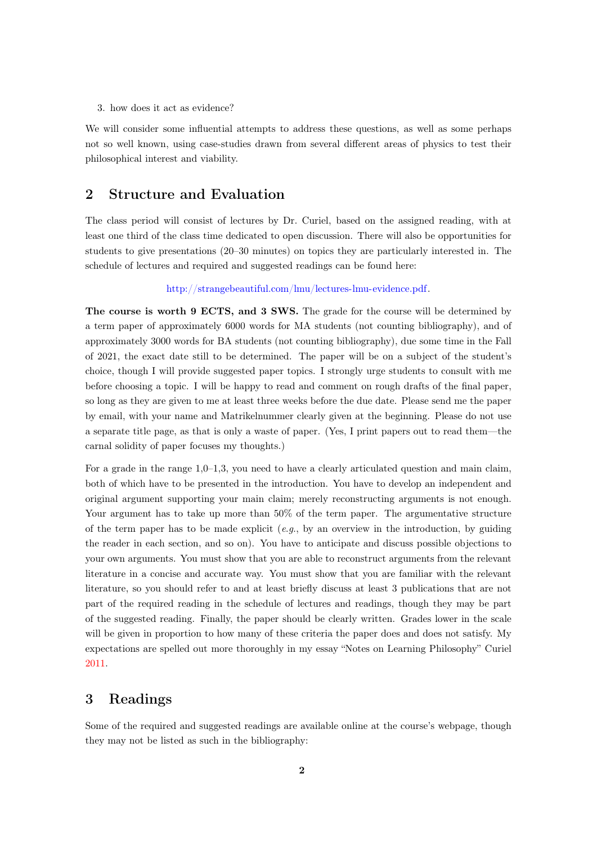#### 3. how does it act as evidence?

We will consider some influential attempts to address these questions, as well as some perhaps not so well known, using case-studies drawn from several different areas of physics to test their philosophical interest and viability.

#### <span id="page-1-0"></span>2 Structure and Evaluation

The class period will consist of lectures by Dr. Curiel, based on the assigned reading, with at least one third of the class time dedicated to open discussion. There will also be opportunities for students to give presentations (20–30 minutes) on topics they are particularly interested in. The schedule of lectures and required and suggested readings can be found here:

[http://strangebeautiful.com/lmu/lectures-lmu-evidence.pdf.](http://strangebeautiful.com/lmu/lectures-lmu-evidence.pdf)

The course is worth 9 ECTS, and 3 SWS. The grade for the course will be determined by a term paper of approximately 6000 words for MA students (not counting bibliography), and of approximately 3000 words for BA students (not counting bibliography), due some time in the Fall of 2021, the exact date still to be determined. The paper will be on a subject of the student's choice, though I will provide suggested paper topics. I strongly urge students to consult with me before choosing a topic. I will be happy to read and comment on rough drafts of the final paper, so long as they are given to me at least three weeks before the due date. Please send me the paper by email, with your name and Matrikelnummer clearly given at the beginning. Please do not use a separate title page, as that is only a waste of paper. (Yes, I print papers out to read them—the carnal solidity of paper focuses my thoughts.)

For a grade in the range  $1,0-1,3$ , you need to have a clearly articulated question and main claim, both of which have to be presented in the introduction. You have to develop an independent and original argument supporting your main claim; merely reconstructing arguments is not enough. Your argument has to take up more than  $50\%$  of the term paper. The argumentative structure of the term paper has to be made explicit  $(e.g., by)$  an overview in the introduction, by guiding the reader in each section, and so on). You have to anticipate and discuss possible objections to your own arguments. You must show that you are able to reconstruct arguments from the relevant literature in a concise and accurate way. You must show that you are familiar with the relevant literature, so you should refer to and at least briefly discuss at least 3 publications that are not part of the required reading in the schedule of lectures and readings, though they may be part of the suggested reading. Finally, the paper should be clearly written. Grades lower in the scale will be given in proportion to how many of these criteria the paper does and does not satisfy. My expectations are spelled out more thoroughly in my essay "Notes on Learning Philosophy" Curiel [2011.](#page-2-2)

#### <span id="page-1-1"></span>3 Readings

Some of the required and suggested readings are available online at the course's webpage, though they may not be listed as such in the bibliography: